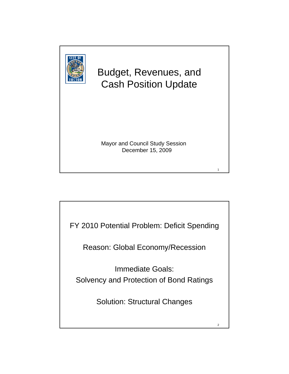

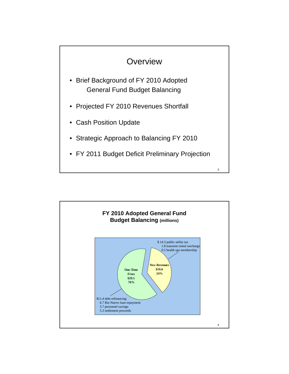

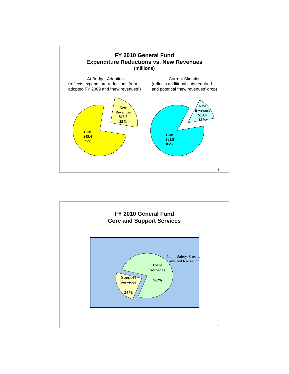

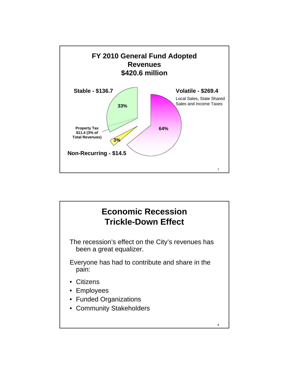

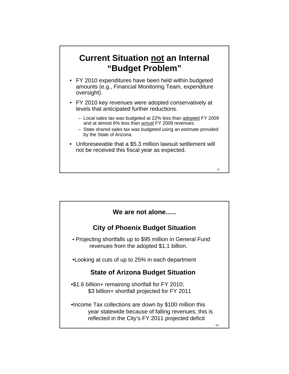## **Current Situation not an Internal "Budget Problem"**

- FY 2010 expenditures have been held within budgeted amounts (e.g., Financial Monitoring Team, expenditure oversight).
- FY 2010 key revenues were adopted conservatively at levels that anticipated further reductions.
	- Local sales tax was budgeted at 22% less than adopted FY 2009 and at almost 6% less than actual FY 2009 revenues.
	- State shared sales tax was budgeted using an estimate provided by the State of Arizona.
- Unforeseeable that a \$5.3 million lawsuit settlement will not be received this fiscal year as expected.

| We are not alone                                                                                                                                                    |    |
|---------------------------------------------------------------------------------------------------------------------------------------------------------------------|----|
| <b>City of Phoenix Budget Situation</b>                                                                                                                             |    |
| • Projecting shortfalls up to \$95 million in General Fund<br>revenues from the adopted \$1.1 billion.                                                              |    |
| •Looking at cuts of up to 25% in each department                                                                                                                    |    |
| <b>State of Arizona Budget Situation</b>                                                                                                                            |    |
| •\$1.6 billion+ remaining shortfall for FY 2010;<br>\$3 billion+ shortfall projected for FY 2011                                                                    |    |
| . Income Tax collections are down by \$100 million this<br>year statewide because of falling revenues; this is<br>reflected in the City's FY 2011 projected deficit | 10 |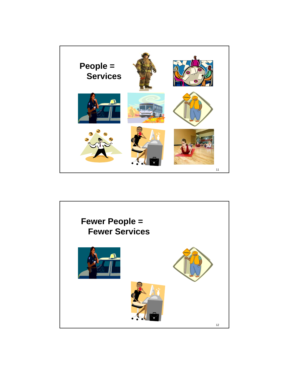

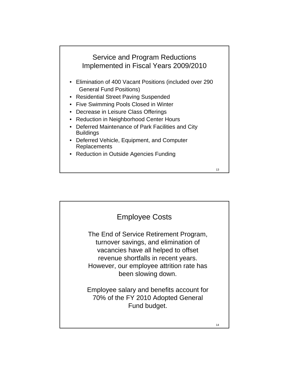# Service and Program Reductions Implemented in Fiscal Years 2009/2010

- Elimination of 400 Vacant Positions (included over 290 General Fund Positions)
- Residential Street Paving Suspended
- Five Swimming Pools Closed in Winter
- Decrease in Leisure Class Offerings
- Reduction in Neighborhood Center Hours
- Deferred Maintenance of Park Facilities and City Buildings
- Deferred Vehicle, Equipment, and Computer **Replacements**
- Reduction in Outside Agencies Funding

The End of Service Retirement Program, turnover savings, and elimination of vacancies have all helped to offset revenue shortfalls in recent years. However, our employee attrition rate has been slowing down. Employee salary and benefits account for 70% of the FY 2010 Adopted General Fund budget. Employee Costs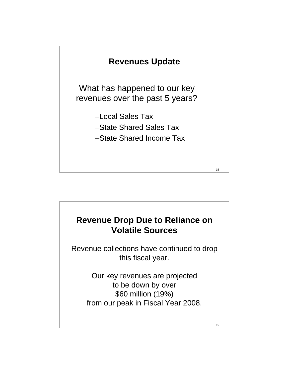

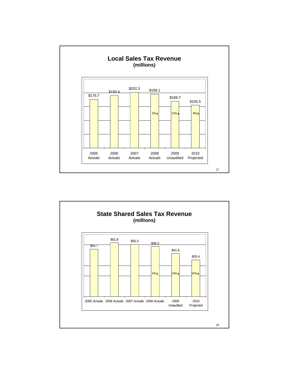

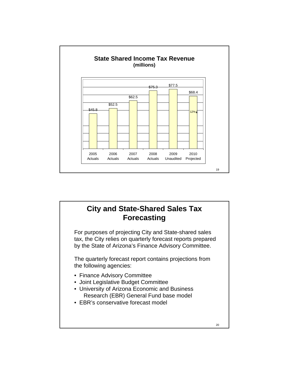

## 20 **City and State-Shared Sales Tax Forecasting** For purposes of projecting City and State-shared sales tax, the City relies on quarterly forecast reports prepared by the State of Arizona's Finance Advisory Committee. The quarterly forecast report contains projections from the following agencies: • Finance Advisory Committee • Joint Legislative Budget Committee • University of Arizona Economic and Business Research (EBR) General Fund base model • EBR's conservative forecast model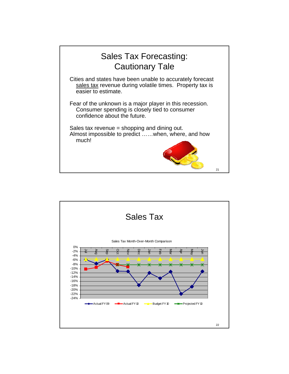

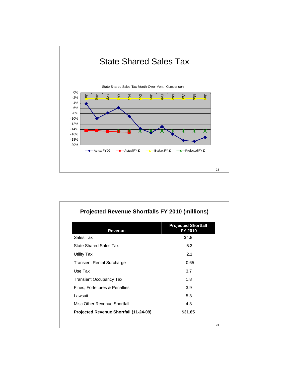

| Revenue                                | <b>Projected Shortfall</b><br>FY 2010 |
|----------------------------------------|---------------------------------------|
| Sales Tax                              | \$4.8                                 |
| <b>State Shared Sales Tax</b>          | 5.3                                   |
| Utility Tax                            | 2.1                                   |
| <b>Transient Rental Surcharge</b>      | 0.65                                  |
| Use Tax                                | 3.7                                   |
| <b>Transient Occupancy Tax</b>         | 1.8                                   |
| Fines, Forfeitures & Penalties         | 3.9                                   |
| Lawsuit                                | 5.3                                   |
| Misc Other Revenue Shortfall           | 4.3                                   |
| Projected Revenue Shortfall (11-24-09) | \$31.85                               |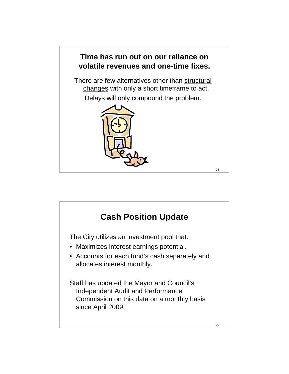

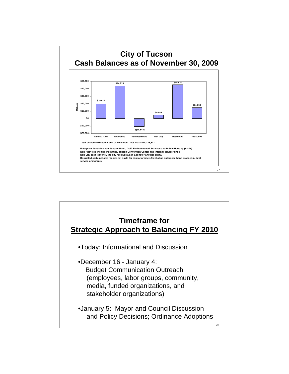

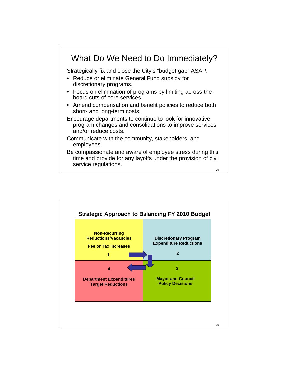

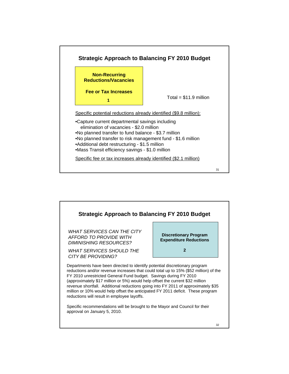

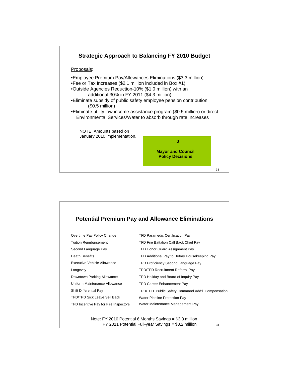

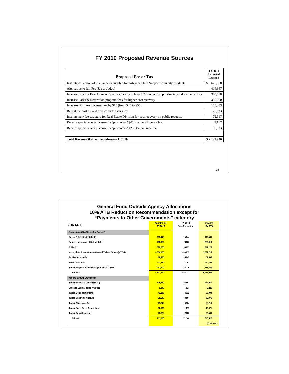| FY 2010 Proposed Revenue Sources |
|----------------------------------|
|----------------------------------|

| Institute collection of insurance deductible for Advanced Life Support from city residents<br>S.<br>Alternative to Jail Fee (Up to Judge)<br>Increase existing Development Services fees by at least 10% and add approximately a dozen new fees<br>Increase Parks & Recreation program fees for higher cost recovery<br>Increase Business License Fee by \$10 (from \$45 to \$55)<br>Repeal the cost of land deduction for sales tax<br>Institute new fee structure for Real Estate Division for cost recovery on public requests | 625,000<br>416,667<br>358,000 |
|-----------------------------------------------------------------------------------------------------------------------------------------------------------------------------------------------------------------------------------------------------------------------------------------------------------------------------------------------------------------------------------------------------------------------------------------------------------------------------------------------------------------------------------|-------------------------------|
|                                                                                                                                                                                                                                                                                                                                                                                                                                                                                                                                   |                               |
|                                                                                                                                                                                                                                                                                                                                                                                                                                                                                                                                   |                               |
|                                                                                                                                                                                                                                                                                                                                                                                                                                                                                                                                   |                               |
|                                                                                                                                                                                                                                                                                                                                                                                                                                                                                                                                   | 350,000                       |
|                                                                                                                                                                                                                                                                                                                                                                                                                                                                                                                                   | 170,833                       |
|                                                                                                                                                                                                                                                                                                                                                                                                                                                                                                                                   | 120,833                       |
|                                                                                                                                                                                                                                                                                                                                                                                                                                                                                                                                   | 72,917                        |
| Require special events license for "promoters" \$45 Business License fee                                                                                                                                                                                                                                                                                                                                                                                                                                                          | 9,167                         |
| Require special events license for "promoters" \$28 Dealer-Trade fee                                                                                                                                                                                                                                                                                                                                                                                                                                                              | 5,833                         |
| <b>Total Revenue if effective February 1, 2010</b><br>\$2,129,250                                                                                                                                                                                                                                                                                                                                                                                                                                                                 |                               |

35

36 **(Continued)**

| (DRAFT)                                                    | <b>Adopted GF</b><br>FY 2010 | FY 2010<br>10% Reduction | <b>Revised</b><br>FY 2010 |
|------------------------------------------------------------|------------------------------|--------------------------|---------------------------|
| <b>Economic and Workforce Development</b>                  |                              |                          |                           |
| Critical Path Institute (C-Path)                           | 158,440                      | 15.844                   | 142.596                   |
| <b>Business Improvement District (BID)</b>                 | 280,020                      | 28.002                   | 252,018                   |
| JobPath                                                    | 380,250                      | 38.025                   | 342.225                   |
| Metropolitan Tucson Convention and Visitors Bureau (MTCVB) | 4.036.350                    | 403.635                  | 3.632.715                 |
| Pro Neighborhoods                                          | 68.450                       | 6.845                    | 61.605                    |
| School Plus Jobs                                           | 471.510                      | 47.151                   | 424.359                   |
| Tucson Regional Economic Opportunities (TREO)              | 1.242.700                    | 124.270                  | 1.118.430                 |
| Subtotal                                                   | 6.637.720                    | 663.772                  | 5.973.948                 |
| <b>Arts and Cultural Enrichment</b>                        |                              |                          |                           |
| Tucson-Pima Arts Council (TPAC)                            | 525.530                      | 52.553                   | 472.977                   |
| El Centro Cultural de las Americas                         | 9.140                        | 914                      | 8.226                     |
| <b>Tucson Botanical Gardens</b>                            | 41.120                       | 4.112                    | 37,008                    |
| <b>Tucson Children's Museum</b>                            | 35.640                       | 3.564                    | 32.076                    |
| <b>Tucson Museum of Art</b>                                | 65,240                       | 6.524                    | 58.716                    |
| <b>Tucson Sister Cities Association</b>                    | 12.190                       | 1.219                    | 10.971                    |
| <b>Tucson Pops Orchestra</b>                               | 22,820                       | 2,282                    | 20,538                    |
| Subtotal                                                   | 711.680                      | 71.168                   | 640.512                   |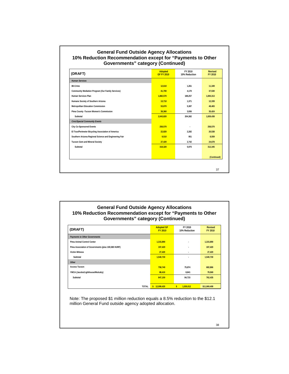#### **General Fund Outside Agency Allocations 10% Reduction Recommendation except for "Payments to Other Governments" category (Continued)**

| (DRAFT)                                                | <b>Adopted</b><br><b>GF FY 2010</b> | FY 2010<br>10% Reduction | <b>Revised</b><br>FY 2010 |
|--------------------------------------------------------|-------------------------------------|--------------------------|---------------------------|
| <b>Human Services</b>                                  |                                     |                          |                           |
| 88-Crime                                               | 12,610                              | 1.261                    | 11,349                    |
| Community Mediation Program (Our Family Services)      | 41,700                              | 4,170                    | 37,530                    |
| Human Services Plan                                    | 1,882,570                           | 188,257                  | 1,694,313                 |
| Humane Society of Southern Arizona                     | 13,710                              | 1,371                    | 12,339                    |
| Metropolitan Education Commission                      | 53,870                              | 5,387                    | 48,483                    |
| Pima County - Tucson Women's Commission                | 39,360                              | 3,936                    | 35,424                    |
| Subtotal                                               | 2,043,820                           | 204,382                  | 1,839,438                 |
| <b>Civic/Special Community Events</b>                  |                                     |                          |                           |
| <b>City Co-Sponsored Events</b>                        | 258,570                             |                          | 258,570                   |
| El Tour/Perimeter Bicycling Association of America     | 22,820                              | 2,282                    | 20,538                    |
| Southern Arizona Regional Science and Engineering Fair | 9,510                               | 951                      | 8,559                     |
| <b>Tucson Gem and Mineral Society</b>                  | 27,420                              | 2,742                    | 24,678                    |
| Subtotal                                               | 318,320                             | 5.975                    | 312,345                   |
|                                                        |                                     |                          | (Continued)               |
|                                                        |                                     |                          |                           |
|                                                        |                                     |                          | 37                        |

#### **General Fund Outside Agency Allocations 10% Reduction Recommendation except for "Payments to Other Governments" category (Continued)**

| (DRAFT)                                             | <b>Adopted GF</b><br><b>FY 2010</b> | FY 2010<br>10% Reduction  | <b>Revised</b><br>FY 2010 |
|-----------------------------------------------------|-------------------------------------|---------------------------|---------------------------|
| <b>Payments to Other Governments</b>                |                                     |                           |                           |
| Pima Animal Control Center                          | 1,315,890                           | $\overline{\phantom{a}}$  | 1,315,890                 |
| Pima Association of Governments (plus 100,580 HURF) | 197,420                             | $\overline{\phantom{a}}$  | 197,420                   |
| <b>Victim Witness</b>                               | 27,420                              | ٠                         | 27,420                    |
| Subtotal                                            | 1,540,730                           | ٠                         | 1,540,730                 |
| Other                                               |                                     |                           |                           |
| <b>Access Tucson</b>                                | 758.740                             | 75,874                    | 682,866                   |
| YMCA (Jacobs/Lighthouse/Mulcahy)                    | 88,410                              | 8,841                     | 79,569                    |
| Subtotal                                            | 847,150                             | 84,715                    | 762,435                   |
|                                                     |                                     |                           |                           |
| TOTAL                                               | \$12,099,420                        | $\mathbf{s}$<br>1,030,012 | \$11,069,408              |

Note: The proposed \$1 million reduction equals a 8.5% reduction to the \$12.1 million General Fund outside agency adopted allocation.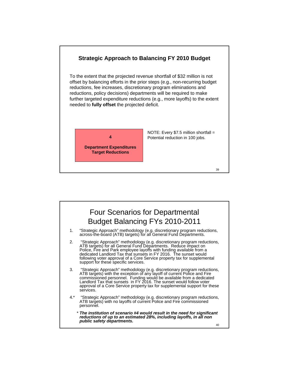

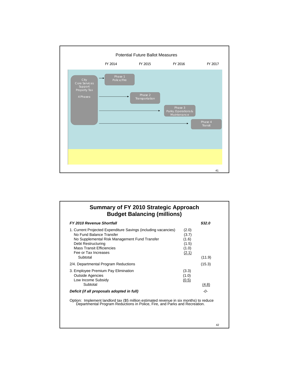

### **Summary of FY 2010 Strategic Approach Budget Balancing (millions)**

| <b>FY 2010 Revenue Shortfall</b>                                                                                                                                                                                              |                                                    | \$32.0 |
|-------------------------------------------------------------------------------------------------------------------------------------------------------------------------------------------------------------------------------|----------------------------------------------------|--------|
| 1. Current Projected Expenditure Savings (including vacancies)<br>No Fund Balance Transfer<br>No Supplemental Risk Management Fund Transfer<br>Debt Restructuring<br><b>Mass Transit Efficiencies</b><br>Fee or Tax Increases | (2.0)<br>(3.7)<br>(1.6)<br>(1.5)<br>(1.0)<br>(2.1) |        |
| Subtotal                                                                                                                                                                                                                      |                                                    | (11.9) |
| 2/4. Departmental Program Reductions                                                                                                                                                                                          |                                                    | (15.3) |
| 3. Employee Premium Pay Elimination<br><b>Outside Agencies</b><br>Low Income Subsidy                                                                                                                                          | (3.3)<br>(1.0)<br>(0.5)                            |        |
| Subtotal                                                                                                                                                                                                                      |                                                    | (4.8)  |
| Deficit (if all proposals adopted in full)                                                                                                                                                                                    |                                                    | -0-    |
| Ontion: Implement landlord tay (\$5 million estimated revenue in six months) to reduce                                                                                                                                        |                                                    |        |

Option: Implement landlord tax (\$5 million estimated revenue in six months) to reduce Departmental Program Reductions in Police, Fire, and Parks and Recreation.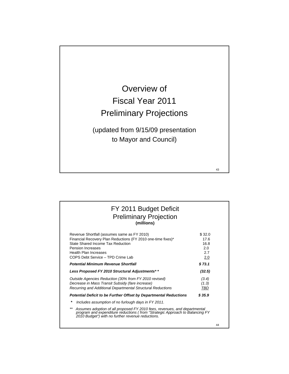

| FY 2011 Budget Deficit<br><b>Preliminary Projection</b><br>(millions)                                                                                                                                                                             |                                             |    |
|---------------------------------------------------------------------------------------------------------------------------------------------------------------------------------------------------------------------------------------------------|---------------------------------------------|----|
| Revenue Shortfall (assumes same as FY 2010)<br>Financial Recovery Plan Reductions (FY 2010 one-time fixes)*<br>State Shared Income Tax Reduction<br><b>Pension Increases</b><br><b>Health Plan Increases</b><br>COPS Debt Service - TPD Crime Lab | \$32.0<br>17.6<br>16.8<br>2.0<br>2.7<br>2.0 |    |
| <b>Potential Minimum Revenue Shortfall</b>                                                                                                                                                                                                        | \$73.1                                      |    |
| Less Proposed FY 2010 Structural Adjustments**                                                                                                                                                                                                    | (32.5)                                      |    |
| Outside Agencies Reduction (30% from FY 2010 revised)<br>Decrease in Mass Transit Subsidy (fare increase)<br>Recurring and Additional Departmental Structural Reductions                                                                          | (3.4)<br>(1.3)<br>TBD                       |    |
| Potential Deficit to be Further Offset by Departmental Reductions                                                                                                                                                                                 | \$35.9                                      |    |
| *<br>Includes assumption of no furlough days in FY 2011.                                                                                                                                                                                          |                                             |    |
| $***$<br>Assumes adoption of all proposed FY 2010 fees, revenues, and departmental<br>program and expenditure reductions (from "Strategic Approach to Balancing FY<br>2010 Budget") with no further revenue reductions.                           |                                             |    |
|                                                                                                                                                                                                                                                   |                                             | 44 |